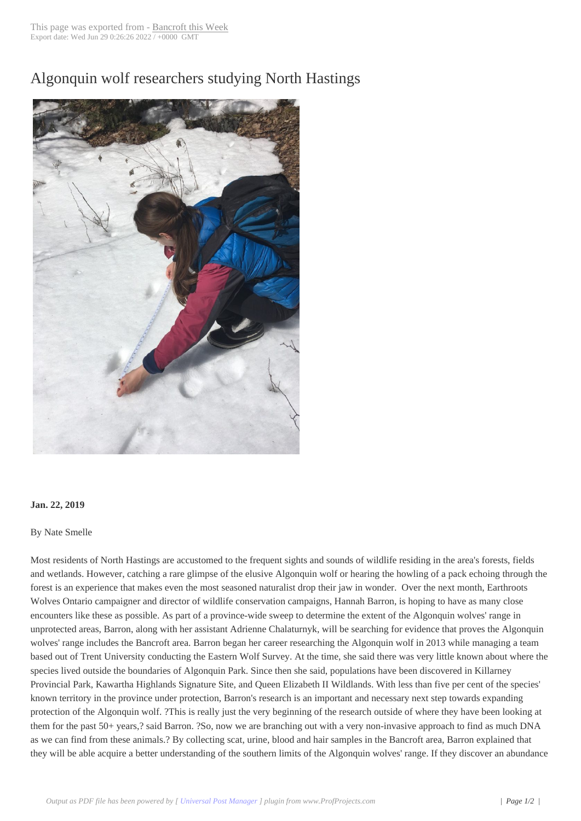## Algonquin wolf res[earchers stud](http://www.bancroftthisweek.com/?p=9549)ying North Hastings



## **Jan. 22, 2019**

## By Nate Smelle

Most residents of North Hastings are accustomed to the frequent sights and sounds of wildlife residing in the area's forests, fields and wetlands. However, catching a rare glimpse of the elusive Algonquin wolf or hearing the howling of a pack echoing through the forest is an experience that makes even the most seasoned naturalist drop their jaw in wonder. Over the next month, Earthroots Wolves Ontario campaigner and director of wildlife conservation campaigns, Hannah Barron, is hoping to have as many close encounters like these as possible. As part of a province-wide sweep to determine the extent of the Algonquin wolves' range in unprotected areas, Barron, along with her assistant Adrienne Chalaturnyk, will be searching for evidence that proves the Algonquin wolves' range includes the Bancroft area. Barron began her career researching the Algonquin wolf in 2013 while managing a team based out of Trent University conducting the Eastern Wolf Survey. At the time, she said there was very little known about where the species lived outside the boundaries of Algonquin Park. Since then she said, populations have been discovered in Killarney Provincial Park, Kawartha Highlands Signature Site, and Queen Elizabeth II Wildlands. With less than five per cent of the species' known territory in the province under protection, Barron's research is an important and necessary next step towards expanding protection of the Algonquin wolf. ?This is really just the very beginning of the research outside of where they have been looking at them for the past 50+ years,? said Barron. ?So, now we are branching out with a very non-invasive approach to find as much DNA as we can find from these animals.? By collecting scat, urine, blood and hair samples in the Bancroft area, Barron explained that they will be able acquire a better understanding of the southern limits of the Algonquin wolves' range. If they discover an abundance